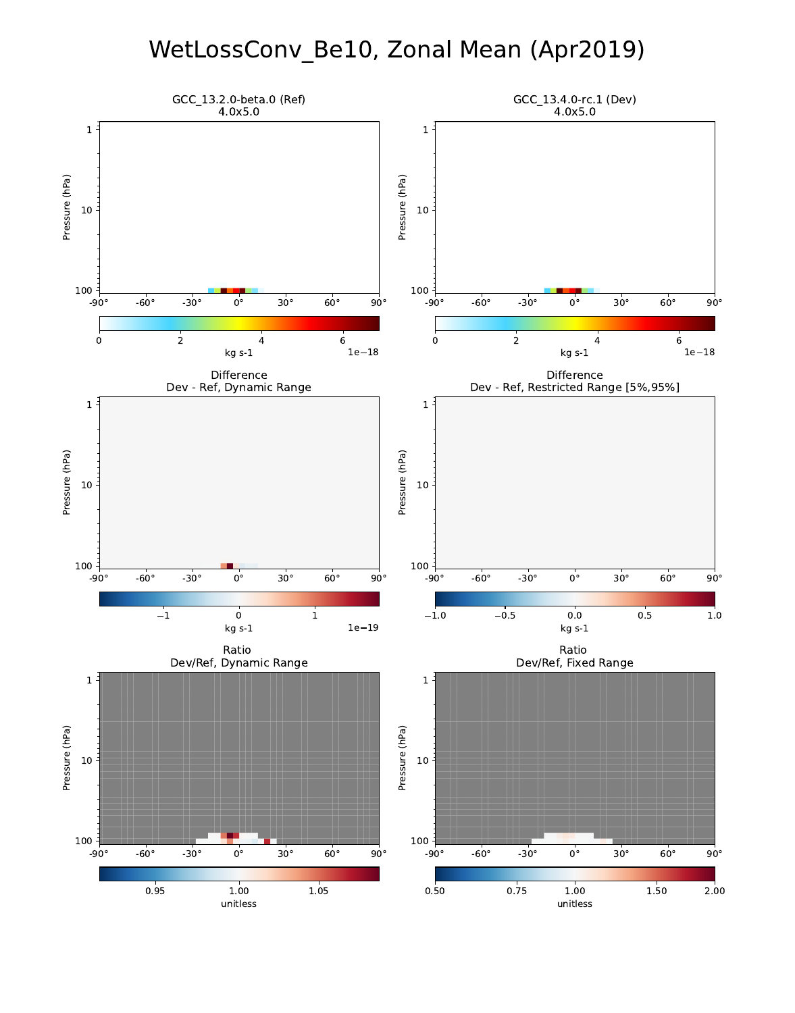# WetLossConv\_Be10, Zonal Mean (Apr2019)

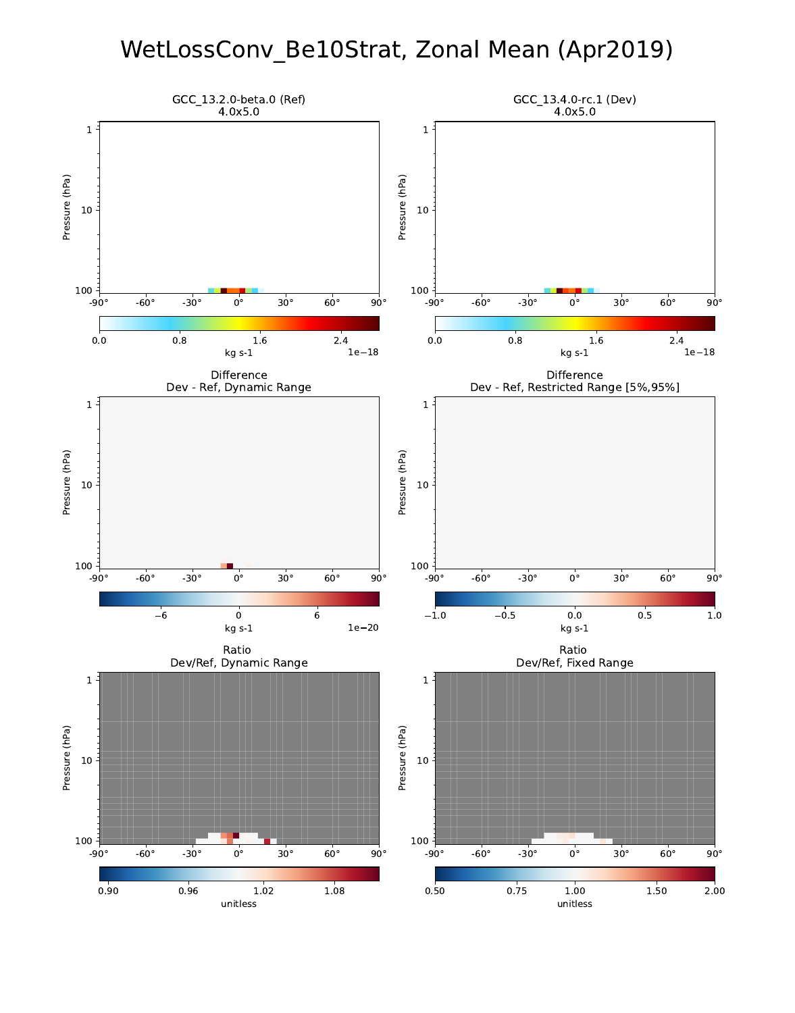### WetLossConv\_Be10Strat, Zonal Mean (Apr2019)

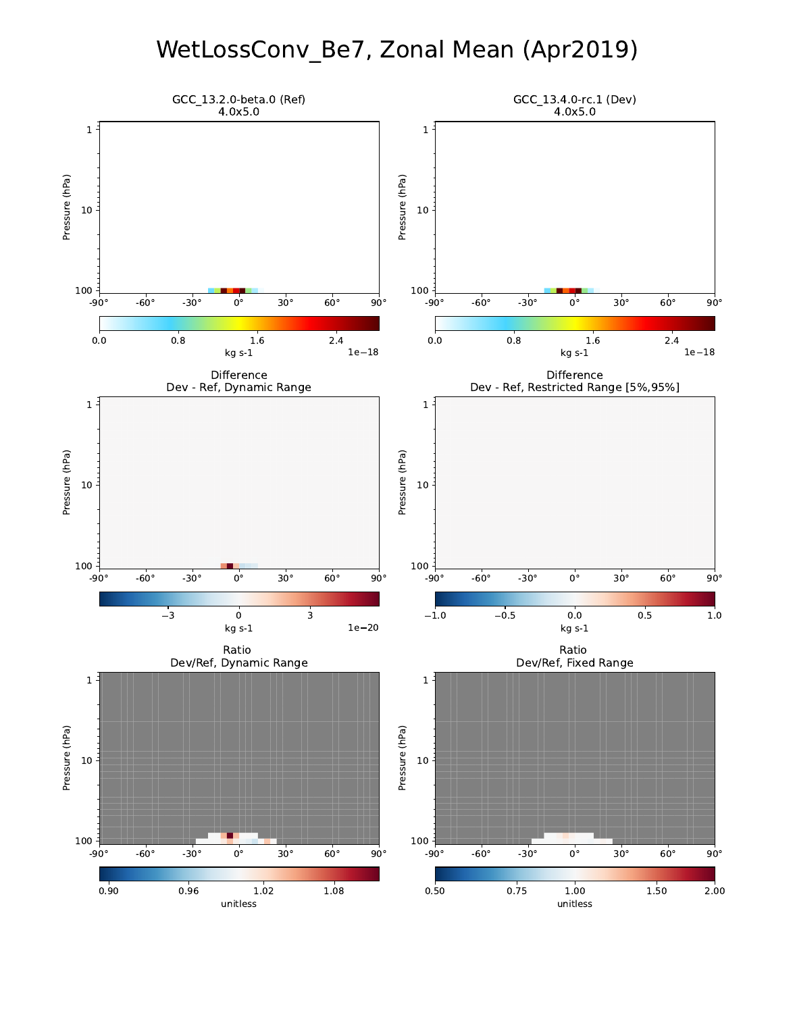# WetLossConv\_Be7, Zonal Mean (Apr2019)

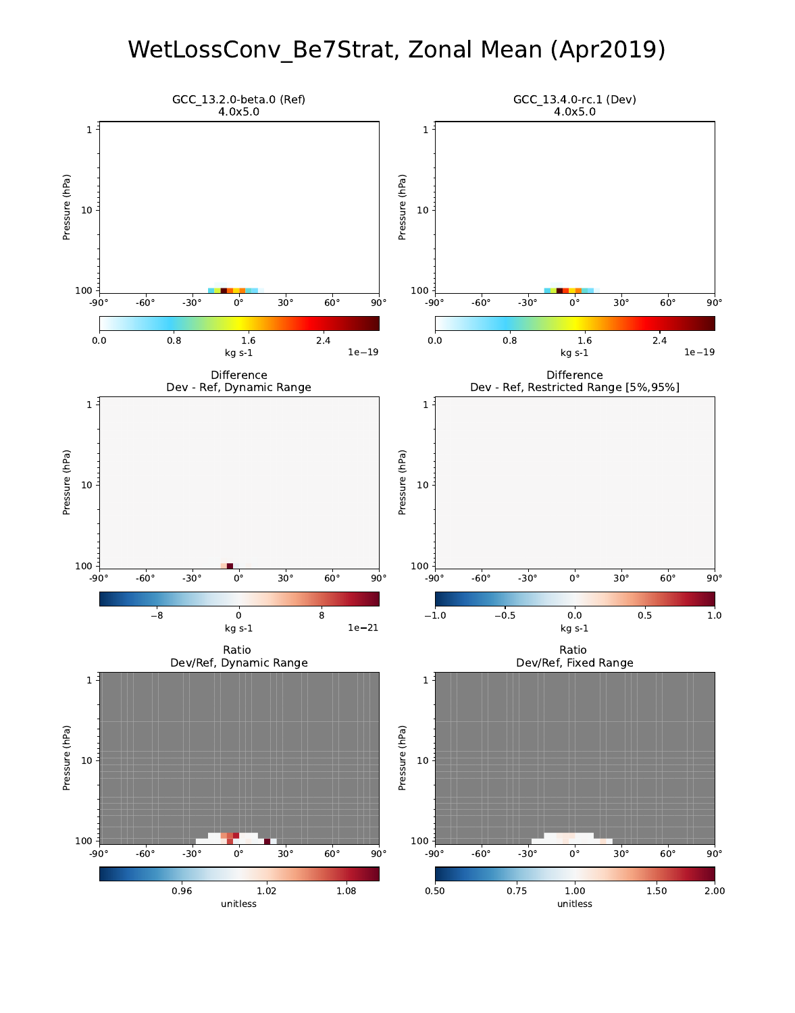### WetLossConv\_Be7Strat, Zonal Mean (Apr2019)

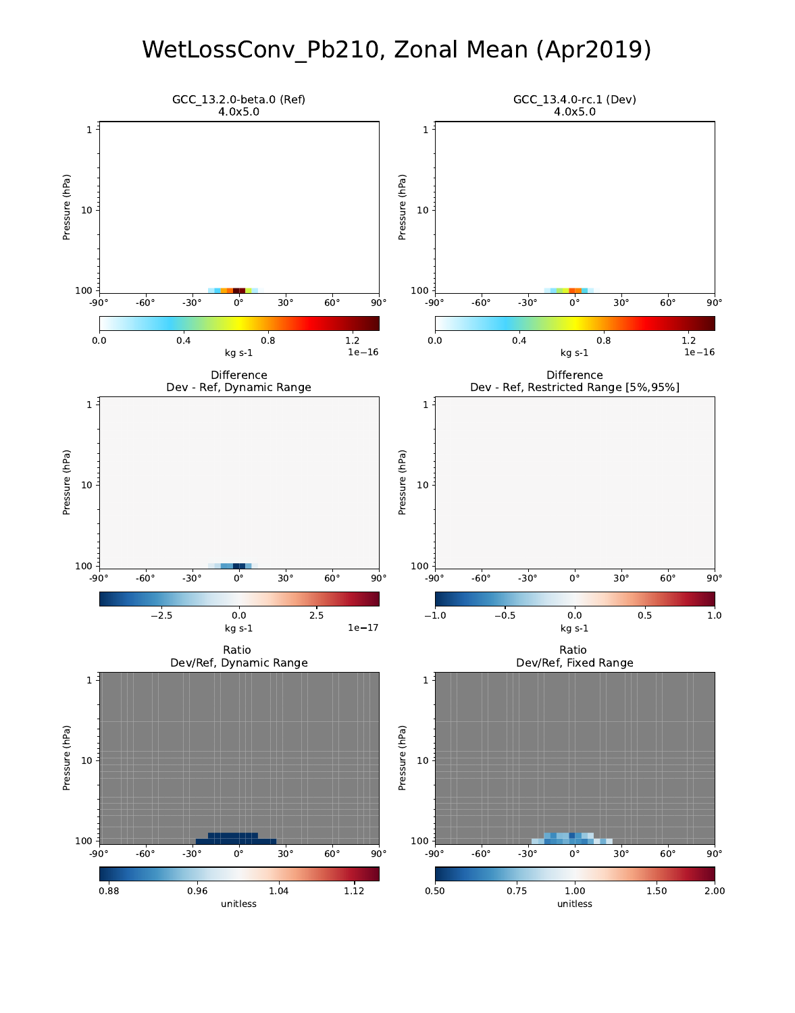# WetLossConv\_Pb210, Zonal Mean (Apr2019)